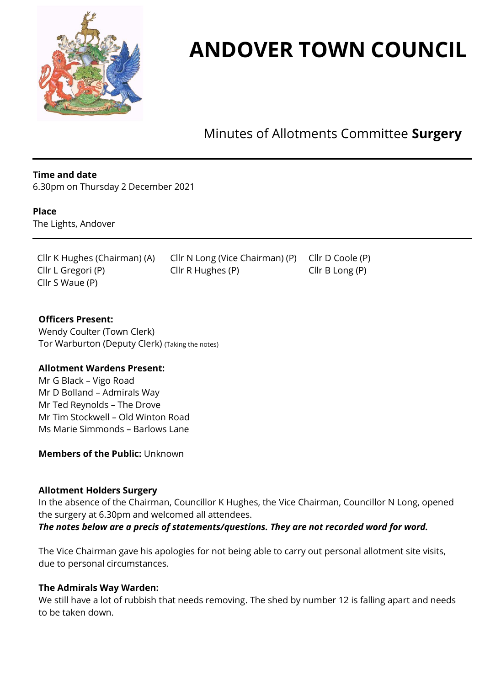

# **ANDOVER TOWN COUNCIL**

Minutes of Allotments Committee **Surgery**

## **Time and date**

6.30pm on Thursday 2 December 2021

#### **Place**

The Lights, Andover

Cllr S Waue (P)

Cllr K Hughes (Chairman) (A) Cllr N Long (Vice Chairman) (P) Cllr D Coole (P) Cllr L Gregori (P) Cllr R Hughes (P) Cllr B Long (P)

**Officers Present:**  Wendy Coulter (Town Clerk) Tor Warburton (Deputy Clerk) (Taking the notes)

#### **Allotment Wardens Present:**

Mr G Black – Vigo Road Mr D Bolland – Admirals Way Mr Ted Reynolds – The Drove Mr Tim Stockwell – Old Winton Road Ms Marie Simmonds – Barlows Lane

**Members of the Public:** Unknown

#### **Allotment Holders Surgery**

In the absence of the Chairman, Councillor K Hughes, the Vice Chairman, Councillor N Long, opened the surgery at 6.30pm and welcomed all attendees.

## *The notes below are a precis of statements/questions. They are not recorded word for word.*

The Vice Chairman gave his apologies for not being able to carry out personal allotment site visits, due to personal circumstances.

#### **The Admirals Way Warden:**

We still have a lot of rubbish that needs removing. The shed by number 12 is falling apart and needs to be taken down.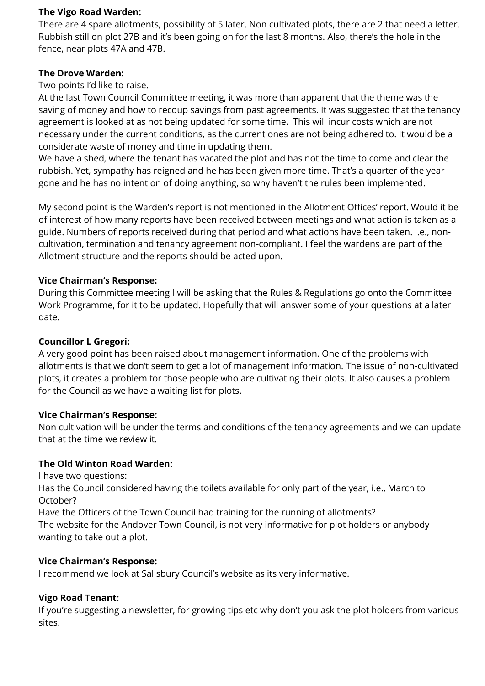## **The Vigo Road Warden:**

There are 4 spare allotments, possibility of 5 later. Non cultivated plots, there are 2 that need a letter. Rubbish still on plot 27B and it's been going on for the last 8 months. Also, there's the hole in the fence, near plots 47A and 47B.

## **The Drove Warden:**

Two points I'd like to raise.

At the last Town Council Committee meeting, it was more than apparent that the theme was the saving of money and how to recoup savings from past agreements. It was suggested that the tenancy agreement is looked at as not being updated for some time. This will incur costs which are not necessary under the current conditions, as the current ones are not being adhered to. It would be a considerate waste of money and time in updating them.

We have a shed, where the tenant has vacated the plot and has not the time to come and clear the rubbish. Yet, sympathy has reigned and he has been given more time. That's a quarter of the year gone and he has no intention of doing anything, so why haven't the rules been implemented.

My second point is the Warden's report is not mentioned in the Allotment Offices' report. Would it be of interest of how many reports have been received between meetings and what action is taken as a guide. Numbers of reports received during that period and what actions have been taken. i.e., noncultivation, termination and tenancy agreement non-compliant. I feel the wardens are part of the Allotment structure and the reports should be acted upon.

## **Vice Chairman's Response:**

During this Committee meeting I will be asking that the Rules & Regulations go onto the Committee Work Programme, for it to be updated. Hopefully that will answer some of your questions at a later date.

## **Councillor L Gregori:**

A very good point has been raised about management information. One of the problems with allotments is that we don't seem to get a lot of management information. The issue of non-cultivated plots, it creates a problem for those people who are cultivating their plots. It also causes a problem for the Council as we have a waiting list for plots.

## **Vice Chairman's Response:**

Non cultivation will be under the terms and conditions of the tenancy agreements and we can update that at the time we review it.

# **The Old Winton Road Warden:**

I have two questions:

Has the Council considered having the toilets available for only part of the year, i.e., March to October?

Have the Officers of the Town Council had training for the running of allotments? The website for the Andover Town Council, is not very informative for plot holders or anybody wanting to take out a plot.

## **Vice Chairman's Response:**

I recommend we look at Salisbury Council's website as its very informative.

# **Vigo Road Tenant:**

If you're suggesting a newsletter, for growing tips etc why don't you ask the plot holders from various sites.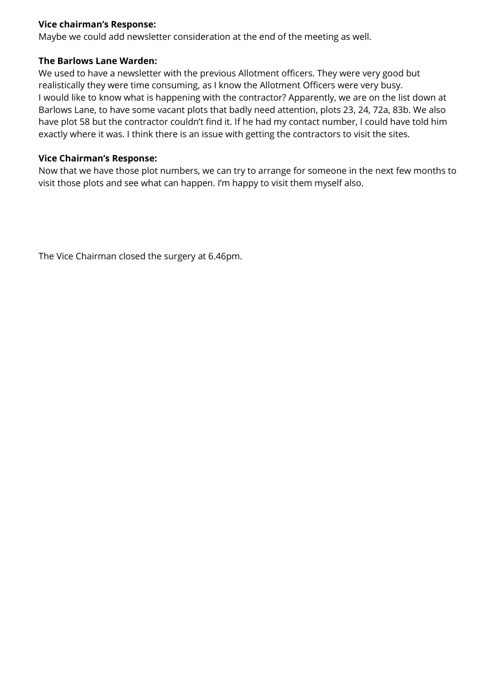# **Vice chairman's Response:**

Maybe we could add newsletter consideration at the end of the meeting as well.

## **The Barlows Lane Warden:**

We used to have a newsletter with the previous Allotment officers. They were very good but realistically they were time consuming, as I know the Allotment Officers were very busy. I would like to know what is happening with the contractor? Apparently, we are on the list down at Barlows Lane, to have some vacant plots that badly need attention, plots 23, 24, 72a, 83b. We also have plot 58 but the contractor couldn't find it. If he had my contact number, I could have told him exactly where it was. I think there is an issue with getting the contractors to visit the sites.

## **Vice Chairman's Response:**

Now that we have those plot numbers, we can try to arrange for someone in the next few months to visit those plots and see what can happen. I'm happy to visit them myself also.

The Vice Chairman closed the surgery at 6.46pm.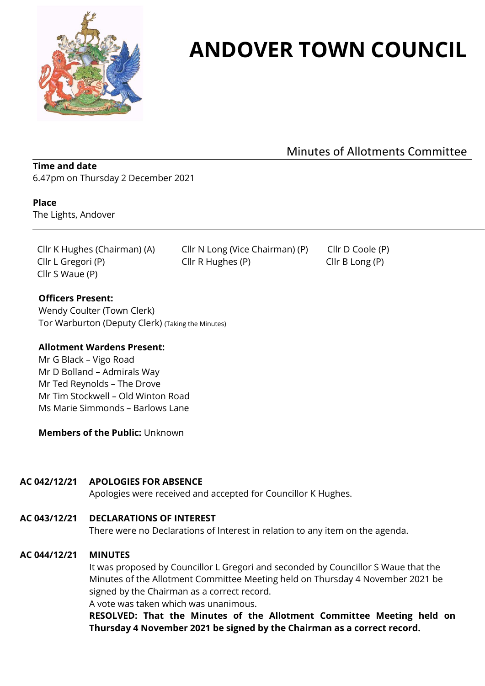

# **ANDOVER TOWN COUNCIL**

Minutes of Allotments Committee

## **Time and date** 6.47pm on Thursday 2 December 2021

#### **Place**

The Lights, Andover

Cllr S Waue (P)

Cllr K Hughes (Chairman) (A) Cllr N Long (Vice Chairman) (P) Cllr D Coole (P) Cllr L Gregori (P) Cllr R Hughes (P) Cllr B Long (P)

## **Officers Present:**

Wendy Coulter (Town Clerk) Tor Warburton (Deputy Clerk) (Taking the Minutes)

## **Allotment Wardens Present:**

Mr G Black – Vigo Road Mr D Bolland – Admirals Way Mr Ted Reynolds – The Drove Mr Tim Stockwell – Old Winton Road Ms Marie Simmonds – Barlows Lane

**Members of the Public:** Unknown

## **AC 042/12/21 APOLOGIES FOR ABSENCE**

Apologies were received and accepted for Councillor K Hughes.

# **AC 043/12/21 DECLARATIONS OF INTEREST**

There were no Declarations of Interest in relation to any item on the agenda.

# **AC 044/12/21 MINUTES**

It was proposed by Councillor L Gregori and seconded by Councillor S Waue that the Minutes of the Allotment Committee Meeting held on Thursday 4 November 2021 be signed by the Chairman as a correct record.

A vote was taken which was unanimous.

**RESOLVED: That the Minutes of the Allotment Committee Meeting held on Thursday 4 November 2021 be signed by the Chairman as a correct record.**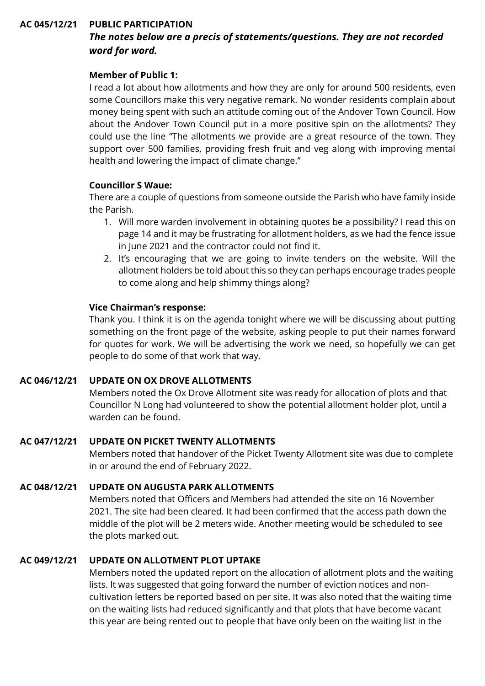## **AC 045/12/21 PUBLIC PARTICIPATION**

# *The notes below are a precis of statements/questions. They are not recorded word for word.*

## **Member of Public 1:**

I read a lot about how allotments and how they are only for around 500 residents, even some Councillors make this very negative remark. No wonder residents complain about money being spent with such an attitude coming out of the Andover Town Council. How about the Andover Town Council put in a more positive spin on the allotments? They could use the line "The allotments we provide are a great resource of the town. They support over 500 families, providing fresh fruit and veg along with improving mental health and lowering the impact of climate change."

## **Councillor S Waue:**

There are a couple of questions from someone outside the Parish who have family inside the Parish.

- 1. Will more warden involvement in obtaining quotes be a possibility? I read this on page 14 and it may be frustrating for allotment holders, as we had the fence issue in June 2021 and the contractor could not find it.
- 2. It's encouraging that we are going to invite tenders on the website. Will the allotment holders be told about this so they can perhaps encourage trades people to come along and help shimmy things along?

## **Vice Chairman's response:**

Thank you. I think it is on the agenda tonight where we will be discussing about putting something on the front page of the website, asking people to put their names forward for quotes for work. We will be advertising the work we need, so hopefully we can get people to do some of that work that way.

#### **AC 046/12/21 UPDATE ON OX DROVE ALLOTMENTS**

Members noted the Ox Drove Allotment site was ready for allocation of plots and that Councillor N Long had volunteered to show the potential allotment holder plot, until a warden can be found.

## **AC 047/12/21 UPDATE ON PICKET TWENTY ALLOTMENTS**

Members noted that handover of the Picket Twenty Allotment site was due to complete in or around the end of February 2022.

## **AC 048/12/21 UPDATE ON AUGUSTA PARK ALLOTMENTS**

Members noted that Officers and Members had attended the site on 16 November 2021. The site had been cleared. It had been confirmed that the access path down the middle of the plot will be 2 meters wide. Another meeting would be scheduled to see the plots marked out.

## **AC 049/12/21 UPDATE ON ALLOTMENT PLOT UPTAKE**

Members noted the updated report on the allocation of allotment plots and the waiting lists. It was suggested that going forward the number of eviction notices and noncultivation letters be reported based on per site. It was also noted that the waiting time on the waiting lists had reduced significantly and that plots that have become vacant this year are being rented out to people that have only been on the waiting list in the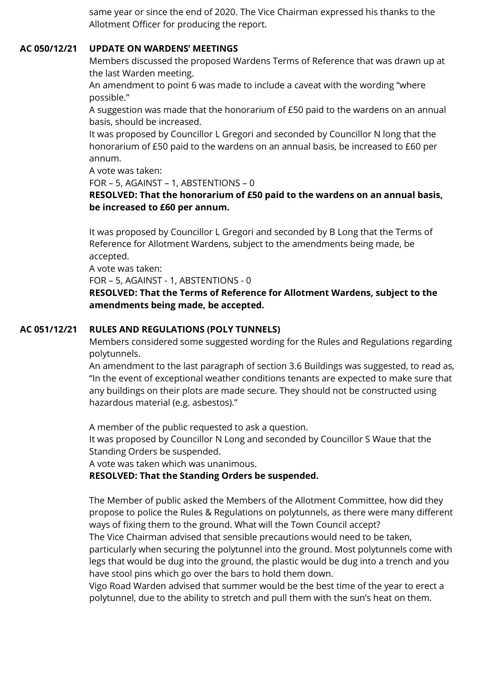same year or since the end of 2020. The Vice Chairman expressed his thanks to the Allotment Officer for producing the report.

## **AC 050/12/21 UPDATE ON WARDENS' MEETINGS**

Members discussed the proposed Wardens Terms of Reference that was drawn up at the last Warden meeting.

An amendment to point 6 was made to include a caveat with the wording "where possible."

A suggestion was made that the honorarium of £50 paid to the wardens on an annual basis, should be increased.

It was proposed by Councillor L Gregori and seconded by Councillor N long that the honorarium of £50 paid to the wardens on an annual basis, be increased to £60 per annum.

A vote was taken:

FOR – 5, AGAINST – 1, ABSTENTIONS – 0

# **RESOLVED: That the honorarium of £50 paid to the wardens on an annual basis, be increased to £60 per annum.**

It was proposed by Councillor L Gregori and seconded by B Long that the Terms of Reference for Allotment Wardens, subject to the amendments being made, be accepted.

A vote was taken:

FOR – 5, AGAINST - 1, ABSTENTIONS - 0

**RESOLVED: That the Terms of Reference for Allotment Wardens, subject to the amendments being made, be accepted.**

# **AC 051/12/21 RULES AND REGULATIONS (POLY TUNNELS)**

Members considered some suggested wording for the Rules and Regulations regarding polytunnels.

An amendment to the last paragraph of section 3.6 Buildings was suggested, to read as, "In the event of exceptional weather conditions tenants are expected to make sure that any buildings on their plots are made secure. They should not be constructed using hazardous material (e.g. asbestos)."

A member of the public requested to ask a question.

It was proposed by Councillor N Long and seconded by Councillor S Waue that the Standing Orders be suspended.

A vote was taken which was unanimous.

## **RESOLVED: That the Standing Orders be suspended.**

The Member of public asked the Members of the Allotment Committee, how did they propose to police the Rules & Regulations on polytunnels, as there were many different ways of fixing them to the ground. What will the Town Council accept?

The Vice Chairman advised that sensible precautions would need to be taken,

particularly when securing the polytunnel into the ground. Most polytunnels come with legs that would be dug into the ground, the plastic would be dug into a trench and you have stool pins which go over the bars to hold them down.

Vigo Road Warden advised that summer would be the best time of the year to erect a polytunnel, due to the ability to stretch and pull them with the sun's heat on them.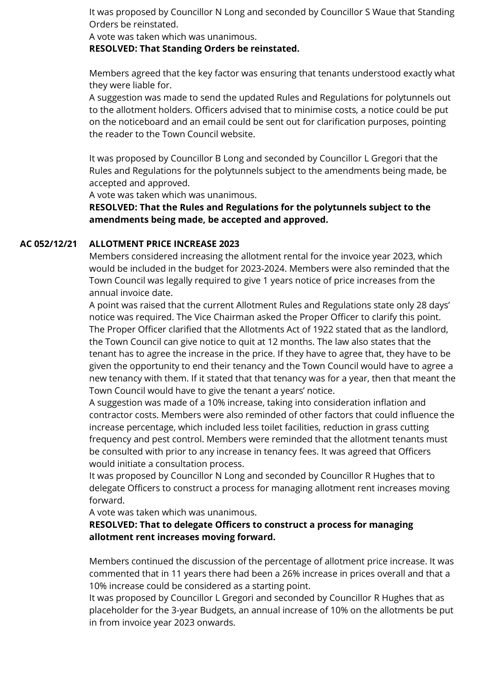It was proposed by Councillor N Long and seconded by Councillor S Waue that Standing Orders be reinstated.

A vote was taken which was unanimous.

**RESOLVED: That Standing Orders be reinstated.**

Members agreed that the key factor was ensuring that tenants understood exactly what they were liable for.

A suggestion was made to send the updated Rules and Regulations for polytunnels out to the allotment holders. Officers advised that to minimise costs, a notice could be put on the noticeboard and an email could be sent out for clarification purposes, pointing the reader to the Town Council website.

It was proposed by Councillor B Long and seconded by Councillor L Gregori that the Rules and Regulations for the polytunnels subject to the amendments being made, be accepted and approved.

A vote was taken which was unanimous.

**RESOLVED: That the Rules and Regulations for the polytunnels subject to the amendments being made, be accepted and approved.**

# **AC 052/12/21 ALLOTMENT PRICE INCREASE 2023**

Members considered increasing the allotment rental for the invoice year 2023, which would be included in the budget for 2023-2024. Members were also reminded that the Town Council was legally required to give 1 years notice of price increases from the annual invoice date.

A point was raised that the current Allotment Rules and Regulations state only 28 days' notice was required. The Vice Chairman asked the Proper Officer to clarify this point. The Proper Officer clarified that the Allotments Act of 1922 stated that as the landlord, the Town Council can give notice to quit at 12 months. The law also states that the tenant has to agree the increase in the price. If they have to agree that, they have to be given the opportunity to end their tenancy and the Town Council would have to agree a new tenancy with them. If it stated that that tenancy was for a year, then that meant the Town Council would have to give the tenant a years' notice.

A suggestion was made of a 10% increase, taking into consideration inflation and contractor costs. Members were also reminded of other factors that could influence the increase percentage, which included less toilet facilities, reduction in grass cutting frequency and pest control. Members were reminded that the allotment tenants must be consulted with prior to any increase in tenancy fees. It was agreed that Officers would initiate a consultation process.

It was proposed by Councillor N Long and seconded by Councillor R Hughes that to delegate Officers to construct a process for managing allotment rent increases moving forward.

A vote was taken which was unanimous.

# **RESOLVED: That to delegate Officers to construct a process for managing allotment rent increases moving forward.**

Members continued the discussion of the percentage of allotment price increase. It was commented that in 11 years there had been a 26% increase in prices overall and that a 10% increase could be considered as a starting point.

It was proposed by Councillor L Gregori and seconded by Councillor R Hughes that as placeholder for the 3-year Budgets, an annual increase of 10% on the allotments be put in from invoice year 2023 onwards.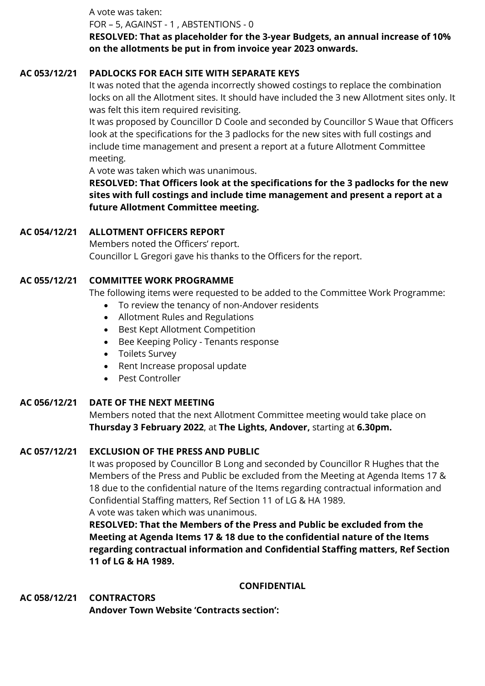A vote was taken:

FOR – 5, AGAINST - 1 , ABSTENTIONS - 0

**RESOLVED: That as placeholder for the 3-year Budgets, an annual increase of 10% on the allotments be put in from invoice year 2023 onwards.**

# **AC 053/12/21 PADLOCKS FOR EACH SITE WITH SEPARATE KEYS**

It was noted that the agenda incorrectly showed costings to replace the combination locks on all the Allotment sites. It should have included the 3 new Allotment sites only. It was felt this item required revisiting.

It was proposed by Councillor D Coole and seconded by Councillor S Waue that Officers look at the specifications for the 3 padlocks for the new sites with full costings and include time management and present a report at a future Allotment Committee meeting.

A vote was taken which was unanimous.

**RESOLVED: That Officers look at the specifications for the 3 padlocks for the new sites with full costings and include time management and present a report at a future Allotment Committee meeting.**

# **AC 054/12/21 ALLOTMENT OFFICERS REPORT**

Members noted the Officers' report. Councillor L Gregori gave his thanks to the Officers for the report.

# **AC 055/12/21 COMMITTEE WORK PROGRAMME**

The following items were requested to be added to the Committee Work Programme:

- To review the tenancy of non-Andover residents
- Allotment Rules and Regulations
- Best Kept Allotment Competition
- Bee Keeping Policy Tenants response
- Toilets Survey
- Rent Increase proposal update
- Pest Controller

# **AC 056/12/21 DATE OF THE NEXT MEETING**

Members noted that the next Allotment Committee meeting would take place on **Thursday 3 February 2022**, at **The Lights, Andover,** starting at **6.30pm.**

# **AC 057/12/21 EXCLUSION OF THE PRESS AND PUBLIC**

It was proposed by Councillor B Long and seconded by Councillor R Hughes that the Members of the Press and Public be excluded from the Meeting at Agenda Items 17 & 18 due to the confidential nature of the Items regarding contractual information and Confidential Staffing matters, Ref Section 11 of LG & HA 1989. A vote was taken which was unanimous.

**RESOLVED: That the Members of the Press and Public be excluded from the Meeting at Agenda Items 17 & 18 due to the confidential nature of the Items regarding contractual information and Confidential Staffing matters, Ref Section 11 of LG & HA 1989.**

# **CONFIDENTIAL**

**AC 058/12/21 CONTRACTORS**

**Andover Town Website 'Contracts section':**